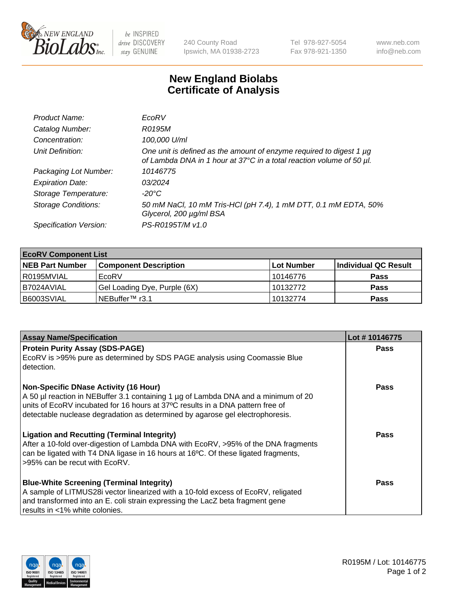

be INSPIRED drive DISCOVERY stay GENUINE

240 County Road Ipswich, MA 01938-2723 Tel 978-927-5054 Fax 978-921-1350 www.neb.com info@neb.com

## **New England Biolabs Certificate of Analysis**

| Product Name:              | EcoRV                                                                                                                                       |
|----------------------------|---------------------------------------------------------------------------------------------------------------------------------------------|
| Catalog Number:            | R0195M                                                                                                                                      |
| Concentration:             | 100,000 U/ml                                                                                                                                |
| Unit Definition:           | One unit is defined as the amount of enzyme required to digest 1 µg<br>of Lambda DNA in 1 hour at 37°C in a total reaction volume of 50 µl. |
| Packaging Lot Number:      | 10146775                                                                                                                                    |
| <b>Expiration Date:</b>    | 0.3/2024                                                                                                                                    |
| Storage Temperature:       | -20°C                                                                                                                                       |
| <b>Storage Conditions:</b> | 50 mM NaCl, 10 mM Tris-HCl (pH 7.4), 1 mM DTT, 0.1 mM EDTA, 50%<br>Glycerol, 200 µg/ml BSA                                                  |
| Specification Version:     | PS-R0195T/M v1.0                                                                                                                            |

| <b>EcoRV Component List</b> |                              |            |                      |  |  |
|-----------------------------|------------------------------|------------|----------------------|--|--|
| <b>NEB Part Number</b>      | <b>Component Description</b> | Lot Number | Individual QC Result |  |  |
| I R0195MVIAL                | EcoRV                        | 10146776   | <b>Pass</b>          |  |  |
| I B7024AVIAL                | Gel Loading Dye, Purple (6X) | 10132772   | <b>Pass</b>          |  |  |
| B6003SVIAL                  | INEBuffer™ r3.1              | 10132774   | <b>Pass</b>          |  |  |

| <b>Assay Name/Specification</b>                                                                                                                                 | Lot #10146775 |
|-----------------------------------------------------------------------------------------------------------------------------------------------------------------|---------------|
| <b>Protein Purity Assay (SDS-PAGE)</b>                                                                                                                          | <b>Pass</b>   |
| EcoRV is >95% pure as determined by SDS PAGE analysis using Coomassie Blue<br>detection.                                                                        |               |
| <b>Non-Specific DNase Activity (16 Hour)</b>                                                                                                                    | <b>Pass</b>   |
| A 50 µl reaction in NEBuffer 3.1 containing 1 µg of Lambda DNA and a minimum of 20                                                                              |               |
| units of EcoRV incubated for 16 hours at 37°C results in a DNA pattern free of<br>detectable nuclease degradation as determined by agarose gel electrophoresis. |               |
|                                                                                                                                                                 |               |
| <b>Ligation and Recutting (Terminal Integrity)</b>                                                                                                              | Pass          |
| After a 10-fold over-digestion of Lambda DNA with EcoRV, >95% of the DNA fragments                                                                              |               |
| can be ligated with T4 DNA ligase in 16 hours at 16 $\degree$ C. Of these ligated fragments,                                                                    |               |
| l >95% can be recut with EcoRV.                                                                                                                                 |               |
| <b>Blue-White Screening (Terminal Integrity)</b>                                                                                                                | Pass          |
| A sample of LITMUS28i vector linearized with a 10-fold excess of EcoRV, religated                                                                               |               |
| and transformed into an E. coli strain expressing the LacZ beta fragment gene                                                                                   |               |
| results in <1% white colonies.                                                                                                                                  |               |